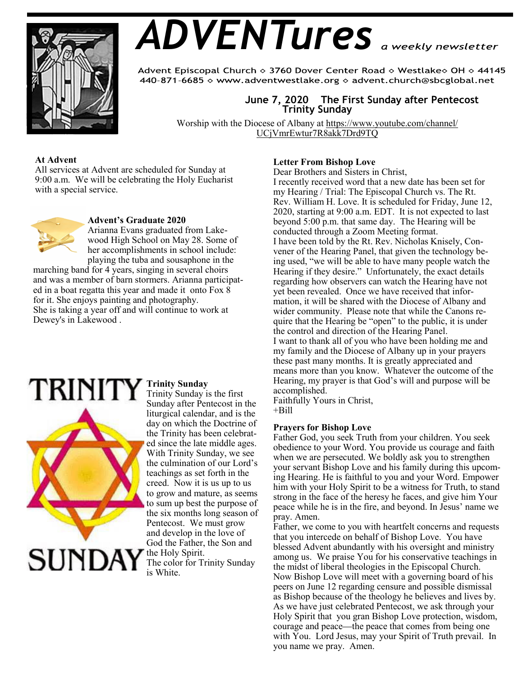

# *ADVENTures*

Advent Episcopal Church ◇ 3760 Dover Center Road ◇ Westlake◇ OH ◇ 44145 440-871-6685 ◇ www.adventwestlake.org ◇ advent.church@sbcglobal.net

## **June 7, 2020 The First Sunday after Pentecost Trinity Sunday**

Worship with the Diocese of Albany at https://www.youtube.com/channel/ UCjVmrEwtur7R8akk7Drd9TQ

## **At Advent**

All services at Advent are scheduled for Sunday at 9:00 a.m. We will be celebrating the Holy Eucharist with a special service.



#### **Advent's Graduate 2020**

Arianna Evans graduated from Lakewood High School on May 28. Some of her accomplishments in school include: playing the tuba and sousaphone in the

marching band for 4 years, singing in several choirs and was a member of barn stormers. Arianna participated in a boat regatta this year and made it onto Fox 8 for it. She enjoys painting and photography. She is taking a year off and will continue to work at Dewey's in Lakewood .



## **Trinity Sunday**

Trinity Sunday is the first Sunday after Pentecost in the liturgical calendar, and is the day on which the Doctrine of the Trinity has been celebrated since the late middle ages. With Trinity Sunday, we see the culmination of our Lord's teachings as set forth in the creed. Now it is us up to us to grow and mature, as seems to sum up best the purpose of the six months long season of Pentecost. We must grow and develop in the love of God the Father, the Son and the Holy Spirit.

The color for Trinity Sunday is White.

## **Letter From Bishop Love**

Dear Brothers and Sisters in Christ,

I recently received word that a new date has been set for my Hearing / Trial: The Episcopal Church vs. The Rt. Rev. William H. Love. It is scheduled for Friday, June 12, 2020, starting at 9:00 a.m. EDT. It is not expected to last beyond 5:00 p.m. that same day. The Hearing will be conducted through a Zoom Meeting format. I have been told by the Rt. Rev. Nicholas Knisely, Convener of the Hearing Panel, that given the technology being used, "we will be able to have many people watch the Hearing if they desire." Unfortunately, the exact details regarding how observers can watch the Hearing have not yet been revealed. Once we have received that information, it will be shared with the Diocese of Albany and wider community. Please note that while the Canons require that the Hearing be "open" to the public, it is under the control and direction of the Hearing Panel. I want to thank all of you who have been holding me and my family and the Diocese of Albany up in your prayers these past many months. It is greatly appreciated and means more than you know. Whatever the outcome of the Hearing, my prayer is that God's will and purpose will be accomplished.

Faithfully Yours in Christ,  $+$ Bill

## **Prayers for Bishop Love**

Father God, you seek Truth from your children. You seek obedience to your Word. You provide us courage and faith when we are persecuted. We boldly ask you to strengthen your servant Bishop Love and his family during this upcoming Hearing. He is faithful to you and your Word. Empower him with your Holy Spirit to be a witness for Truth, to stand strong in the face of the heresy he faces, and give him Your peace while he is in the fire, and beyond. In Jesus' name we pray. Amen.

Father, we come to you with heartfelt concerns and requests that you intercede on behalf of Bishop Love. You have blessed Advent abundantly with his oversight and ministry among us. We praise You for his conservative teachings in the midst of liberal theologies in the Episcopal Church. Now Bishop Love will meet with a governing board of his peers on June 12 regarding censure and possible dismissal as Bishop because of the theology he believes and lives by. As we have just celebrated Pentecost, we ask through your Holy Spirit that you gran Bishop Love protection, wisdom, courage and peace—the peace that comes from being one with You. Lord Jesus, may your Spirit of Truth prevail. In you name we pray. Amen.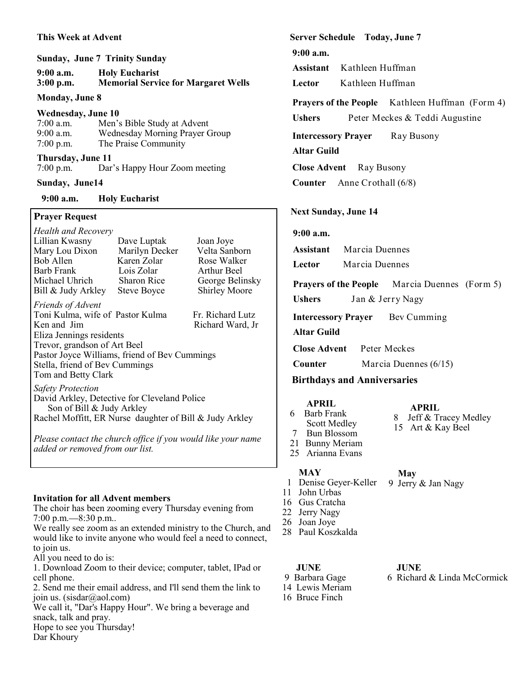## **This Week at Advent**

|             | <b>Sunday, June 7 Trinity Sunday</b>       |
|-------------|--------------------------------------------|
| $9:00$ a.m. | <b>Holy Eucharist</b>                      |
| $3:00$ p.m. | <b>Memorial Service for Margaret Wells</b> |

#### **Monday, June 8**

#### **Wednesday, June 10**

| $7:00$ a.m. | Men's Bible Study at Advent    |
|-------------|--------------------------------|
| $9:00$ a.m. | Wednesday Morning Prayer Group |
| $7:00$ p.m. | The Praise Community           |

#### **Thursday, June 11** Dar's Happy Hour Zoom meeting

## **Sunday, June14**

 **9:00 a.m. Holy Eucharist**

## **Prayer Request**

| <b>Health and Recovery</b>                    |                    |                      |  |  |
|-----------------------------------------------|--------------------|----------------------|--|--|
| Lillian Kwasny                                | Dave Luptak        | Joan Joye            |  |  |
| Mary Lou Dixon                                | Marilyn Decker     | Velta Sanborn        |  |  |
| <b>Bob Allen</b>                              | Karen Zolar        | Rose Walker          |  |  |
| <b>Barb Frank</b>                             | Lois Zolar         | Arthur Beel          |  |  |
| Michael Uhrich                                | <b>Sharon Rice</b> | George Belinsky      |  |  |
| Bill & Judy Arkley                            | <b>Steve Boyce</b> | <b>Shirley Moore</b> |  |  |
| <i>Friends of Advent</i>                      |                    |                      |  |  |
| Toni Kulma, wife of Pastor Kulma              |                    | Fr. Richard Lutz     |  |  |
| Ken and Jim                                   |                    | Richard Ward, Jr     |  |  |
| Eliza Jennings residents                      |                    |                      |  |  |
| Trevor, grandson of Art Beel                  |                    |                      |  |  |
| Pastor Joyce Williams, friend of Bev Cummings |                    |                      |  |  |
| Stella, friend of Bev Cummings                |                    |                      |  |  |
| Tom and Betty Clark                           |                    |                      |  |  |
| <b>Safety Protection</b>                      |                    |                      |  |  |
| David Arkley, Detective for Cleveland Police  |                    |                      |  |  |

 Son of Bill & Judy Arkley Rachel Moffitt, ER Nurse daughter of Bill & Judy Arkley

*Please contact the church office if you would like your name added or removed from our list.*

## **Invitation for all Advent members**

The choir has been zooming every Thursday evening from 7:00 p.m.—8:30 p.m..

We really see zoom as an extended ministry to the Church, and would like to invite anyone who would feel a need to connect, to join us.

All you need to do is:

1. Download Zoom to their device; computer, tablet, IPad or cell phone.

2. Send me their email address, and I'll send them the link to join us. (sisdar@aol.com)

We call it, "Dar's Happy Hour". We bring a beverage and snack, talk and pray. Hope to see you Thursday!

Dar Khoury

**Server Schedule Today, June 7**

**9:00 a.m.** 

**Assistant** Kathleen Huffman

**Lector** Kathleen Huffman

# **Prayers of the People** Kathleen Huffman (Form 4)

**Ushers** Peter Meckes & Teddi Augustine

**Intercessory Prayer** Ray Busony

**Altar Guild** 

**Close Advent** Ray Busony

**Counter** Anne Crothall (6/8)

## **Next Sunday, June 14**

## **9:00 a.m.**

**Assistant** Marcia Duennes

**Lector** Marcia Duennes

**Prayers of the People** Marcia Duennes (Form 5)

**Ushers** Jan & Jerry Nagy

**Intercessory Prayer** Bev Cumming

## **Altar Guild**

**Close Advent** Peter Meckes

**Counter** Marcia Duennes (6/15)

# **Birthdays and Anniversaries**

- **APRIL**
- 6 Barb Frank
- Scott Medley
- 7 Bun Blossom 21 Bunny Meriam
- 25 Arianna Evans

## **MAY**

- 1 Denise Geyer-Keller
- 11 John Urbas
- 16 Gus Cratcha
- 22 Jerry Nagy
- 28 Paul Koszkalda
- 9 Barbara Gage 14 Lewis Meriam
- 
- 16 Bruce Finch

**JUNE**

6 Richard & Linda McCormick

 **May**  9 Jerry & Jan Nagy

**APRIL**

8 Jeff & Tracey Medley 15 Art & Kay Beel

- 26 Joan Joye
- 

 **JUNE**